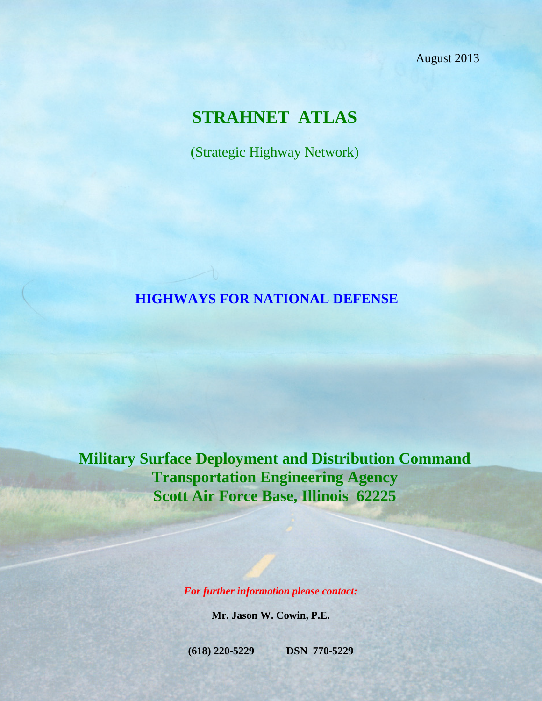August 2013

# **STRAHNET ATLAS**

(Strategic Highway Network)

#### **HIGHWAYS FOR NATIONAL DEFENSE**

**Military Surface Deployment and Distribution Command Transportation Engineering Agency Scott Air Force Base, Illinois 62225**

*For further information please contact:*

**Mr. Jason W. Cowin, P.E.**

**(618) 220-5229 DSN 770-5229**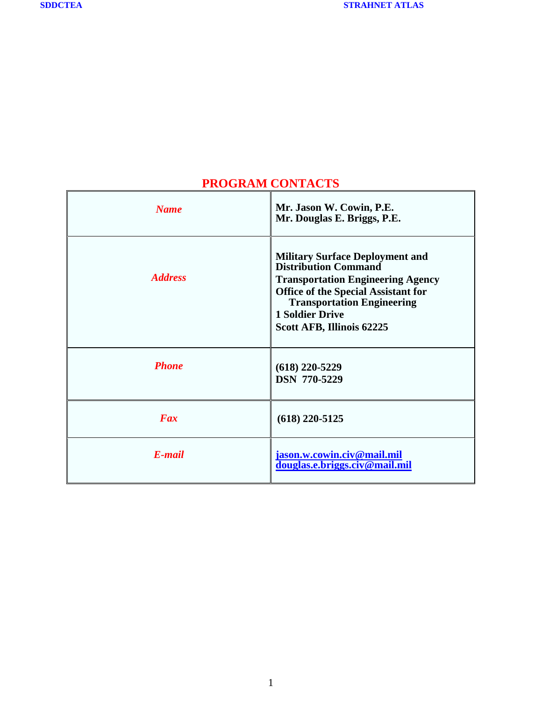<span id="page-1-0"></span> $\mathbf{r}$ 

| <b>Name</b>    | Mr. Jason W. Cowin, P.E.<br>Mr. Douglas E. Briggs, P.E.                                                                                                                                                                                                     |
|----------------|-------------------------------------------------------------------------------------------------------------------------------------------------------------------------------------------------------------------------------------------------------------|
| <b>Address</b> | <b>Military Surface Deployment and</b><br><b>Distribution Command</b><br><b>Transportation Engineering Agency</b><br><b>Office of the Special Assistant for</b><br><b>Transportation Engineering</b><br><b>1 Soldier Drive</b><br>Scott AFB, Illinois 62225 |
| <b>Phone</b>   | $(618)$ 220-5229<br><b>DSN 770-5229</b>                                                                                                                                                                                                                     |
| Fax            | $(618)$ 220-5125                                                                                                                                                                                                                                            |
| E-mail         | jason.w.cowin.civ@mail.mil<br>douglas.e.briggs.civ@mail.mil                                                                                                                                                                                                 |

## **PROGRAM CONTACTS**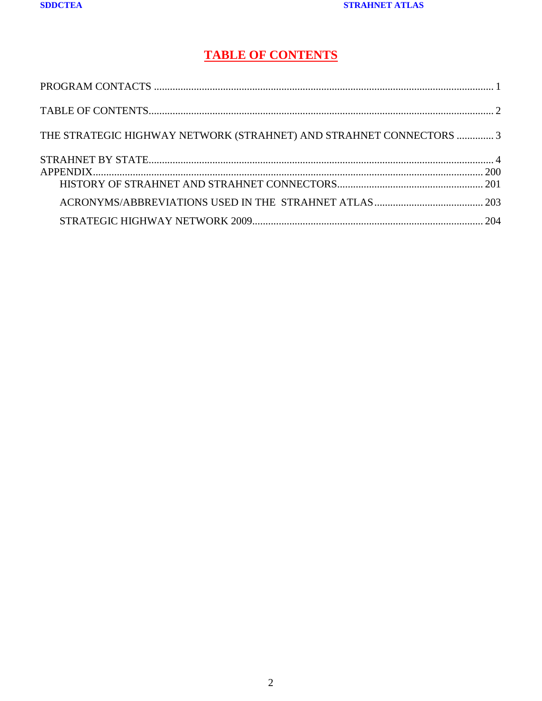### **TABLE OF CONTENTS**

<span id="page-2-0"></span>

| THE STRATEGIC HIGHWAY NETWORK (STRAHNET) AND STRAHNET CONNECTORS  3 |  |
|---------------------------------------------------------------------|--|
|                                                                     |  |
|                                                                     |  |
|                                                                     |  |
|                                                                     |  |